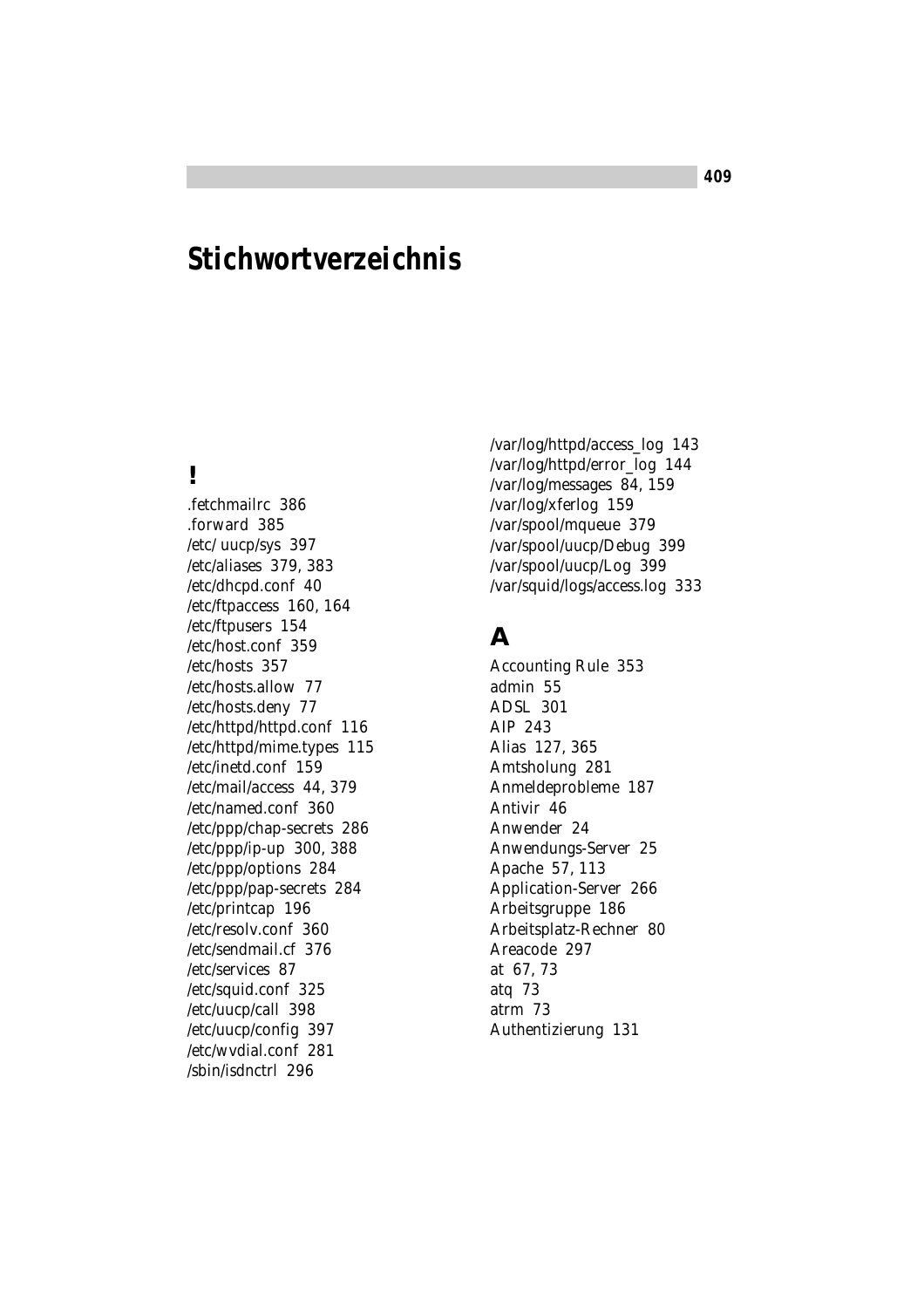# **Stichwortverzeichnis**

## **!**

.fetchmailrc 386 .forward 385 /etc/ uucp/sys 397 /etc/aliases 379, 383 /etc/dhcpd.conf 40 /etc/ftpaccess 160, 164 /etc/ftpusers 154 /etc/host.conf 359 /etc/hosts 357 /etc/hosts.allow 77 /etc/hosts.deny 77 /etc/httpd/httpd.conf 116 /etc/httpd/mime.types 115 /etc/inetd.conf 159 /etc/mail/access 44, 379 /etc/named.conf 360 /etc/ppp/chap-secrets 286 /etc/ppp/ip-up 300, 388 /etc/ppp/options 284 /etc/ppp/pap-secrets 284 /etc/printcap 196 /etc/resolv.conf 360 /etc/sendmail.cf 376 /etc/services 87 /etc/squid.conf 325 /etc/uucp/call 398 /etc/uucp/config 397 /etc/wvdial.conf 281 /sbin/isdnctrl 296

/var/log/httpd/access\_log 143 /var/log/httpd/error\_log 144 /var/log/messages 84, 159 /var/log/xferlog 159 /var/spool/mqueue 379 /var/spool/uucp/Debug 399 /var/spool/uucp/Log 399 /var/squid/logs/access.log 333

## **A**

Accounting Rule 353 admin 55 ADSL 301 AIP 243 Alias 127, 365 Amtsholung 281 Anmeldeprobleme 187 Antivir 46 Anwender 24 Anwendungs-Server 25 Apache 57, 113 Application-Server 266 Arbeitsgruppe 186 Arbeitsplatz-Rechner 80 Areacode 297 at 67, 73 atq 73 atrm 73 Authentizierung 131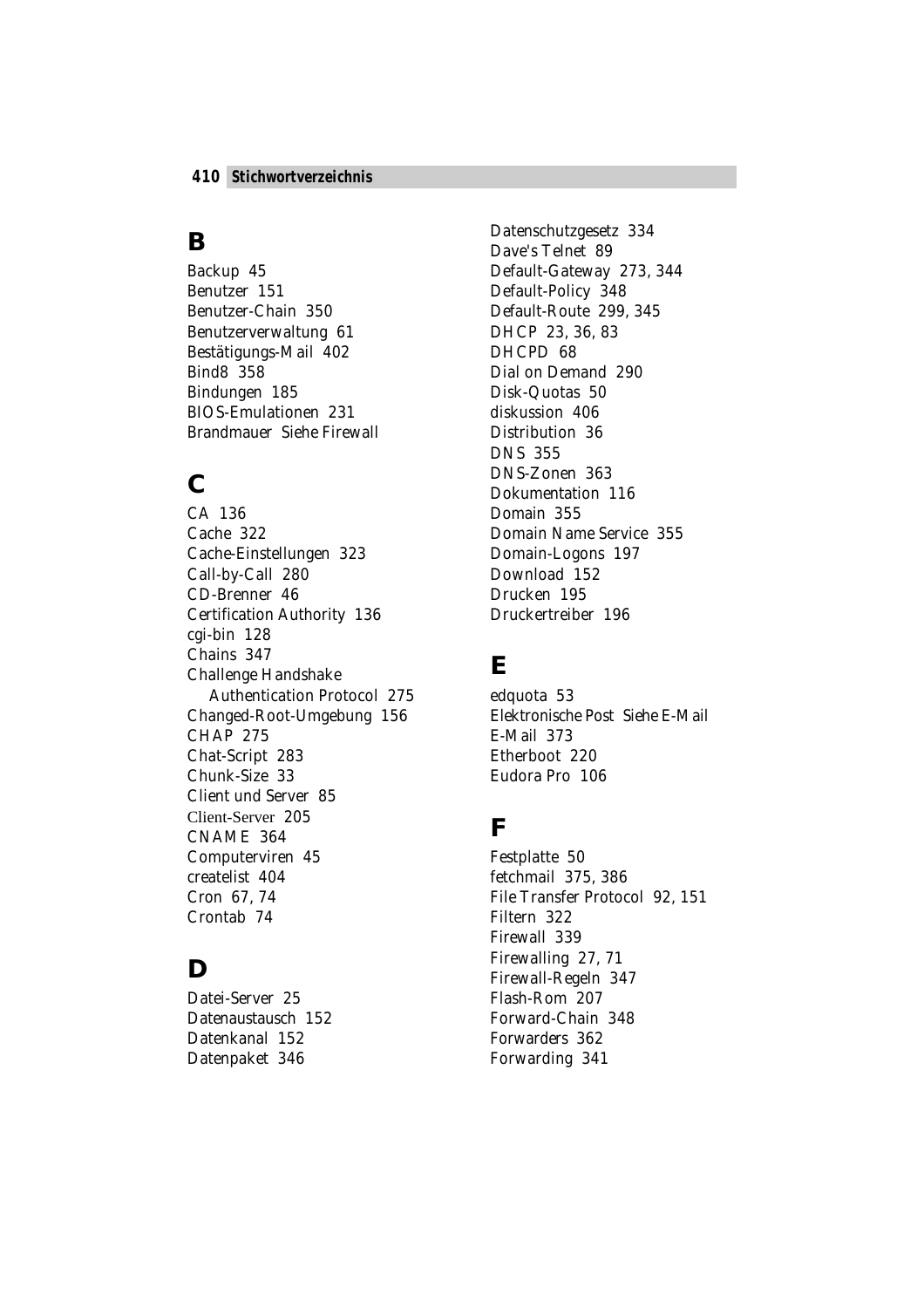#### **B**

Backup 45 Benutzer 151 Benutzer-Chain 350 Benutzerverwaltung 61 Bestätigungs-Mail 402 Bind8 358 Bindungen 185 BIOS-Emulationen 231 Brandmauer *Siehe* Firewall

### **C**

CA 136 Cache 322 Cache-Einstellungen 323 Call-by-Call 280 CD-Brenner 46 Certification Authority 136 cgi-bin 128 Chains 347 Challenge Handshake Authentication Protocol 275 Changed-Root-Umgebung 156 CHAP 275 Chat-Script 283 Chunk-Size 33 Client und Server 85 Client-Server 205 CNAME 364 Computerviren 45 createlist 404 Cron 67, 74 Crontab 74

## **D**

Datei-Server 25 Datenaustausch 152 Datenkanal 152 Datenpaket 346

Datenschutzgesetz 334 Dave's Telnet 89 Default-Gateway 273, 344 Default-Policy 348 Default-Route 299, 345 DHCP 23, 36, 83 DHCPD 68 Dial on Demand 290 Disk-Quotas 50 diskussion 406 Distribution 36 DNS 355 DNS-Zonen 363 Dokumentation 116 Domain 355 Domain Name Service 355 Domain-Logons 197 Download 152 Drucken 195 Druckertreiber 196

## **E**

edquota 53 Elektronische Post *Siehe* E-Mail E-Mail 373 Etherboot 220 Eudora Pro 106

## **F**

Festplatte 50 fetchmail 375, 386 File Transfer Protocol 92, 151 Filtern 322 Firewall 339 Firewalling 27, 71 Firewall-Regeln 347 Flash-Rom 207 Forward-Chain 348 Forwarders 362 Forwarding 341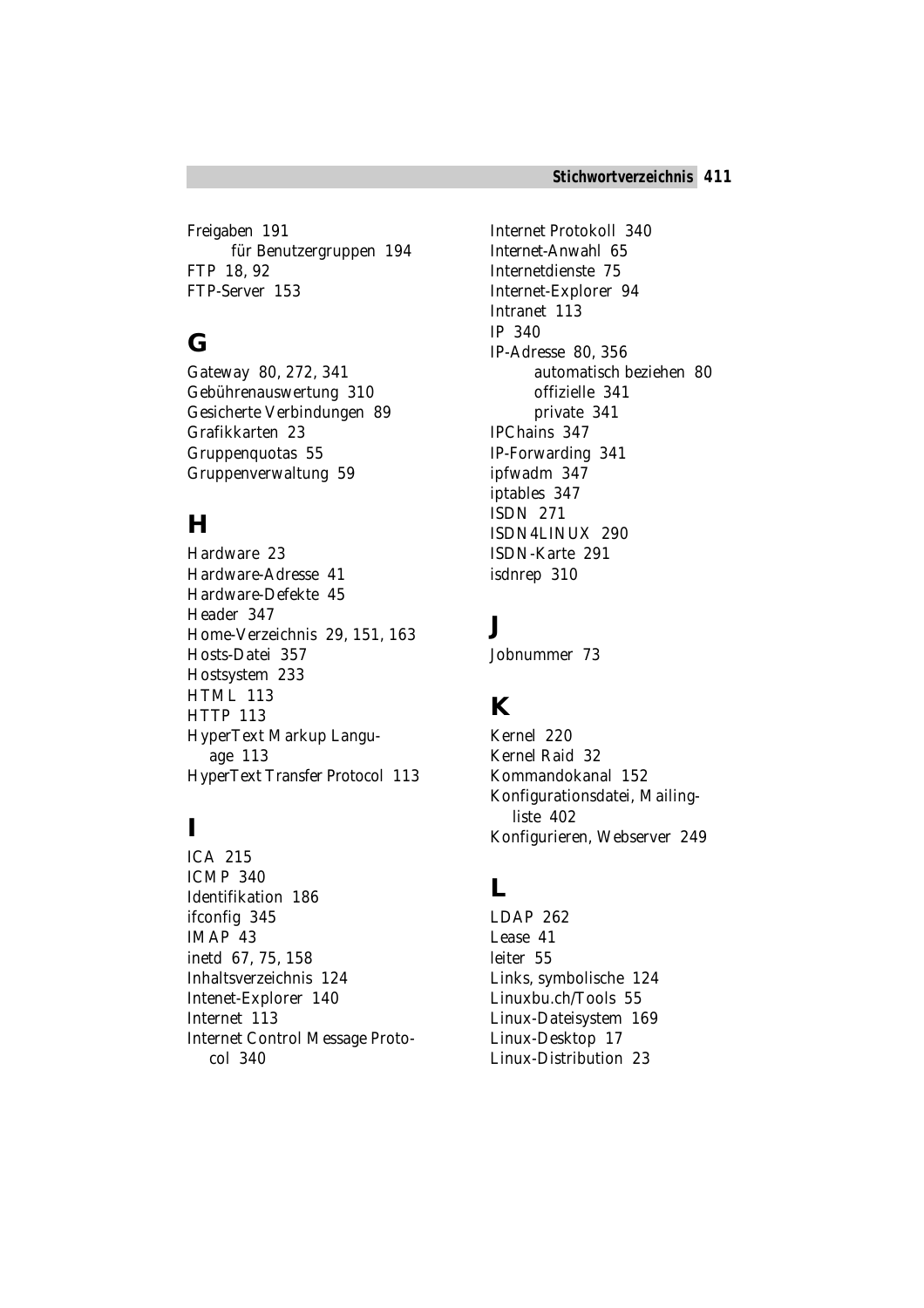Freigaben 191 für Benutzergruppen 194 FTP 18, 92 FTP-Server 153

# **G**

Gateway 80, 272, 341 Gebührenauswertung 310 Gesicherte Verbindungen 89 Grafikkarten 23 Gruppenquotas 55 Gruppenverwaltung 59

## **H**

Hardware 23 Hardware-Adresse 41 Hardware-Defekte 45 Header 347 Home-Verzeichnis 29, 151, 163 Hosts-Datei 357 Hostsystem 233 HTML 113 HTTP 113 HyperText Markup Language 113 HyperText Transfer Protocol 113

## **I**

ICA 215 ICMP 340 Identifikation 186 ifconfig 345 IMAP 43 inetd 67, 75, 158 Inhaltsverzeichnis 124 Intenet-Explorer 140 Internet 113 Internet Control Message Protocol 340

Internet Protokoll 340 Internet-Anwahl 65 Internetdienste 75 Internet-Explorer 94 Intranet 113 IP 340 IP-Adresse 80, 356 automatisch beziehen 80 offizielle 341 private 341 IPChains 347 IP-Forwarding 341 ipfwadm 347 iptables 347 ISDN 271 ISDN4LINUX 290 ISDN-Karte 291 isdnrep 310

## **J**

Jobnummer 73

# **K**

Kernel 220 Kernel Raid 32 Kommandokanal 152 Konfigurationsdatei, Mailingliste 402 Konfigurieren, Webserver 249

#### **L**

LDAP 262 Lease 41 leiter 55 Links, symbolische 124 Linuxbu.ch/Tools 55 Linux-Dateisystem 169 Linux-Desktop 17 Linux-Distribution 23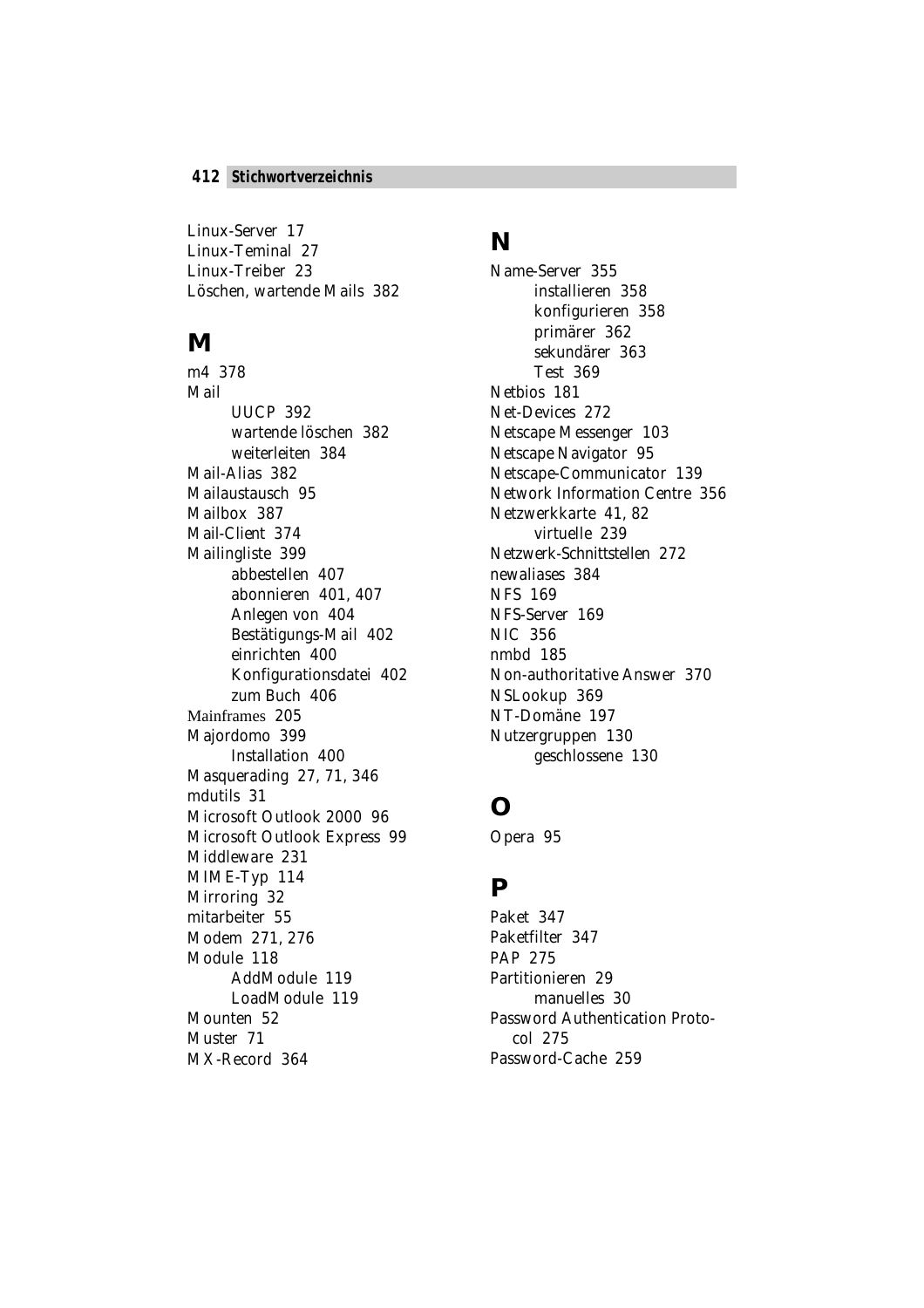Linux-Server 17 Linux-Teminal 27 Linux-Treiber 23 Löschen, wartende Mails 382

#### **M**

m4 378 Mail UUCP 392 wartende löschen 382 weiterleiten 384 Mail-Alias 382 Mailaustausch 95 Mailbox 387 Mail-Client 374 Mailingliste 399 abbestellen 407 abonnieren 401, 407 Anlegen von 404 Bestätigungs-Mail 402 einrichten 400 Konfigurationsdatei 402 zum Buch 406 Mainframes 205 Majordomo 399 Installation 400 Masquerading 27, 71, 346 mdutils 31 Microsoft Outlook 2000 96 Microsoft Outlook Express 99 Middleware 231 MIME-Typ 114 Mirroring 32 mitarbeiter 55 Modem 271, 276 Module 118 AddModule 119 LoadModule 119 Mounten 52 Muster 71 MX-Record 364

#### **N**

Name-Server 355 installieren 358 konfigurieren 358 primärer 362 sekundärer 363 Test 369 Netbios 181 Net-Devices 272 Netscape Messenger 103 Netscape Navigator 95 Netscape-Communicator 139 Network Information Centre 356 Netzwerkkarte 41, 82 virtuelle 239 Netzwerk-Schnittstellen 272 newaliases 384 NFS 169 NFS-Server 169 NIC 356 nmbd 185 Non-authoritative Answer 370 NSLookup 369 NT-Domäne 197 Nutzergruppen 130 geschlossene 130

## **O**

Opera 95

#### **P**

Paket 347 Paketfilter 347 PAP 275 Partitionieren 29 manuelles 30 Password Authentication Protocol 275 Password-Cache 259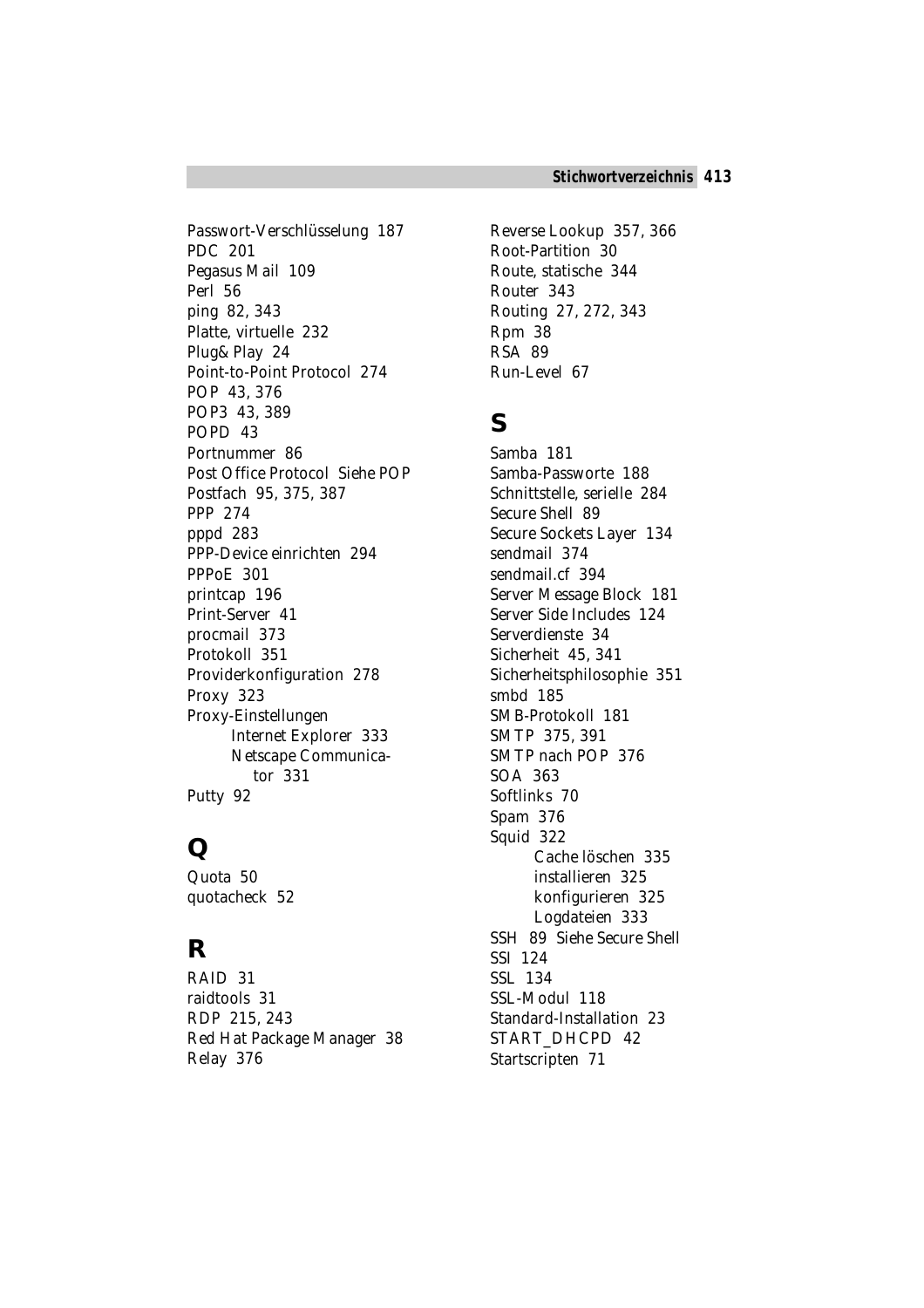Passwort-Verschlüsselung 187 PDC 201 Pegasus Mail 109 Perl 56 ping 82, 343 Platte, virtuelle 232 Plug&Play 24 Point-to-Point Protocol 274 POP 43, 376 POP3 43, 389 POPD 43 Portnummer 86 Post Office Protocol *Siehe* POP Postfach 95, 375, 387 PPP 274 pppd 283 PPP-Device einrichten 294 PPPoE 301 printcap 196 Print-Server 41 procmail 373 Protokoll 351 Providerkonfiguration 278 Proxy 323 Proxy-Einstellungen Internet Explorer 333 Netscape Communicator 331 Putty 92

## **Q**

Quota 50 quotacheck 52

## **R**

RAID 31 raidtools 31 RDP 215, 243 Red Hat Package Manager 38 Relay 376

Reverse Lookup 357, 366 Root-Partition 30 Route, statische 344 Router 343 Routing 27, 272, 343 Rpm 38 RSA 89 Run-Level 67

# **S**

Samba 181 Samba-Passworte 188 Schnittstelle, serielle 284 Secure Shell 89 Secure Sockets Layer 134 sendmail 374 sendmail.cf 394 Server Message Block 181 Server Side Includes 124 Serverdienste 34 Sicherheit 45, 341 Sicherheitsphilosophie 351 smbd 185 SMB-Protokoll 181 SMTP 375, 391 SMTP nach POP 376 SOA 363 Softlinks 70 Spam 376 Squid 322 Cache löschen 335 installieren 325 konfigurieren 325 Logdateien 333 SSH 89 *Siehe* Secure Shell SSI 124 SSL 134 SSL-Modul 118 Standard-Installation 23 *START\_DHCPD* 42 Startscripten 71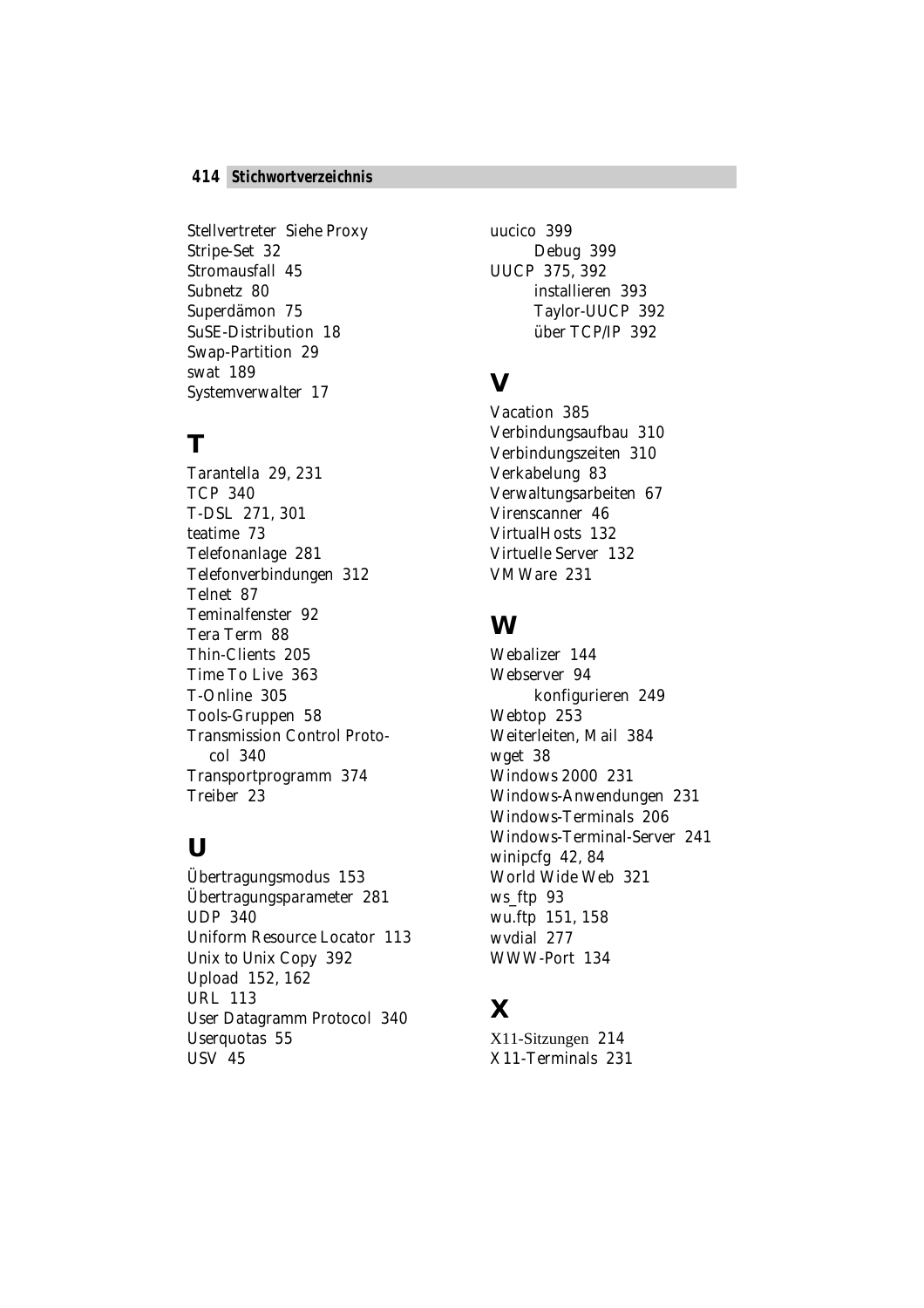#### **414** *Stichwortverzeichnis*

Stellvertreter *Siehe* Proxy Stripe-Set 32 Stromausfall 45 Subnetz 80 Superdämon 75 SuSE-Distribution 18 Swap-Partition 29 swat 189 Systemverwalter 17

### **T**

Tarantella 29, 231 TCP 340 T-DSL 271, 301 teatime 73 Telefonanlage 281 Telefonverbindungen 312 Telnet 87 Teminalfenster 92 Tera Term 88 Thin-Clients 205 Time To Live 363 T-Online 305 Tools-Gruppen 58 Transmission Control Protocol 340 Transportprogramm 374 Treiber 23

#### **U**

Übertragungsmodus 153 Übertragungsparameter 281 UDP 340 Uniform Resource Locator 113 Unix to Unix Copy 392 Upload 152, 162 URL 113 User Datagramm Protocol 340 Userquotas 55 USV 45

uucico 399 Debug 399 UUCP 375, 392 installieren 393 Taylor-UUCP 392 über TCP/IP 392

## **V**

Vacation 385 Verbindungsaufbau 310 Verbindungszeiten 310 Verkabelung 83 Verwaltungsarbeiten 67 Virenscanner 46 VirtualHosts 132 Virtuelle Server 132 VMWare 231

#### **W**

Webalizer 144 Webserver 94 konfigurieren 249 Webtop 253 Weiterleiten, Mail 384 wget 38 Windows 2000 231 Windows-Anwendungen 231 Windows-Terminals 206 Windows-Terminal-Server 241 winipcfg 42, 84 World Wide Web 321 ws\_ftp 93 wu.ftp 151, 158 wvdial 277 WWW-Port 134

# **X**

X11-Sitzungen 214 X11-Terminals 231